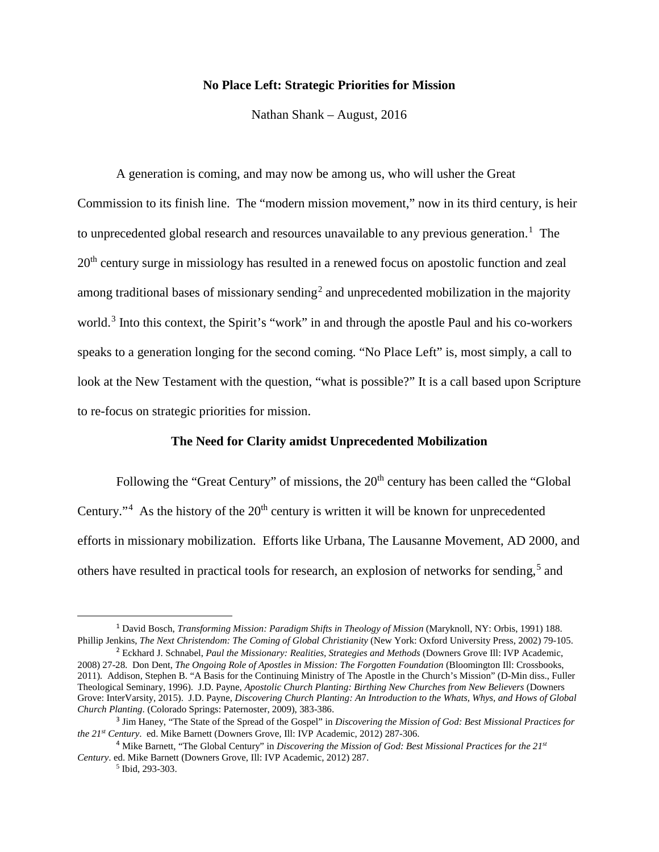## **No Place Left: Strategic Priorities for Mission**

Nathan Shank – August, 2016

A generation is coming, and may now be among us, who will usher the Great Commission to its finish line. The "modern mission movement," now in its third century, is heir to unprecedented global research and resources unavailable to any previous generation.<sup>[1](#page-0-0)</sup> The 20<sup>th</sup> century surge in missiology has resulted in a renewed focus on apostolic function and zeal among traditional bases of missionary sending<sup>[2](#page-0-1)</sup> and unprecedented mobilization in the majority world.<sup>[3](#page-0-2)</sup> Into this context, the Spirit's "work" in and through the apostle Paul and his co-workers speaks to a generation longing for the second coming. "No Place Left" is, most simply, a call to look at the New Testament with the question, "what is possible?" It is a call based upon Scripture to re-focus on strategic priorities for mission.

### **The Need for Clarity amidst Unprecedented Mobilization**

Following the "Great Century" of missions, the 20<sup>th</sup> century has been called the "Global" Century."<sup>[4](#page-0-3)</sup> As the history of the  $20<sup>th</sup>$  century is written it will be known for unprecedented efforts in missionary mobilization. Efforts like Urbana, The Lausanne Movement, AD 2000, and others have resulted in practical tools for research, an explosion of networks for sending,<sup>[5](#page-0-4)</sup> and

<span id="page-0-0"></span> <sup>1</sup> David Bosch, *Transforming Mission: Paradigm Shifts in Theology of Mission* (Maryknoll, NY: Orbis, 1991) 188. Phillip Jenkins, *The Next Christendom: The Coming of Global Christianity* (New York: Oxford University Press, 2002) 79-105.

<span id="page-0-1"></span><sup>2</sup> Eckhard J. Schnabel, *Paul the Missionary: Realities, Strategies and Methods* (Downers Grove Ill: IVP Academic, 2008) 27-28. Don Dent, *The Ongoing Role of Apostles in Mission: The Forgotten Foundation* (Bloomington Ill: Crossbooks, 2011)*.* Addison, Stephen B. "A Basis for the Continuing Ministry of The Apostle in the Church's Mission" (D-Min diss., Fuller Theological Seminary, 1996). J.D. Payne, *Apostolic Church Planting: Birthing New Churches from New Believers* (Downers Grove: InterVarsity, 2015). J.D. Payne, *Discovering Church Planting: An Introduction to the Whats, Whys, and Hows of Global Church Planting*. (Colorado Springs: Paternoster, 2009), 383-386.

<span id="page-0-2"></span><sup>3</sup> Jim Haney, "The State of the Spread of the Gospel" in *Discovering the Mission of God: Best Missional Practices for the 21st Century*. ed. Mike Barnett (Downers Grove, Ill: IVP Academic, 2012) 287-306.

<span id="page-0-4"></span><span id="page-0-3"></span><sup>4</sup> Mike Barnett, "The Global Century" in *Discovering the Mission of God: Best Missional Practices for the 21st Century*. ed. Mike Barnett (Downers Grove, Ill: IVP Academic, 2012) 287.

<sup>5</sup> Ibid, 293-303.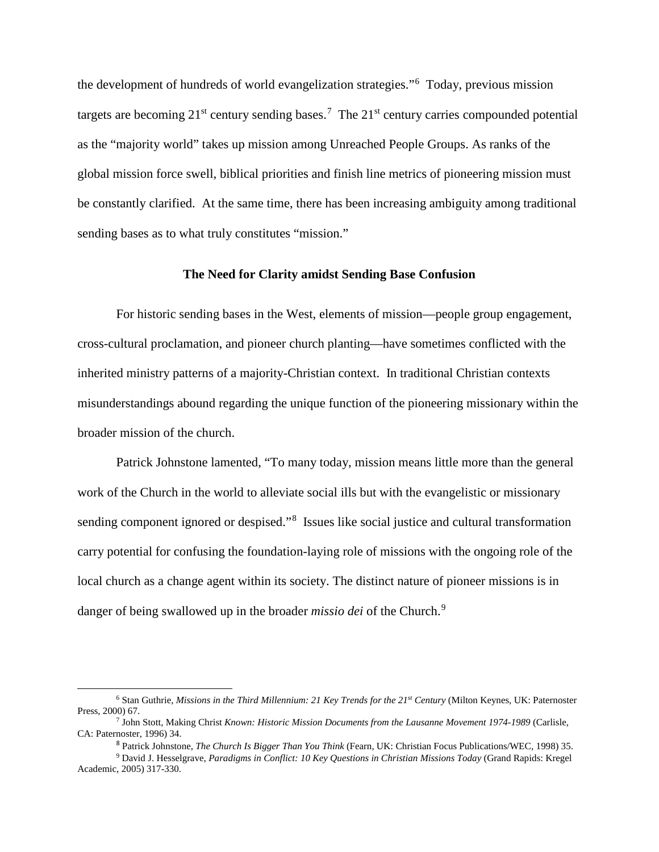the development of hundreds of world evangelization strategies."[6](#page-1-0) Today, previous mission targets are becoming  $21^{st}$  century sending bases.<sup>[7](#page-1-1)</sup> The  $21^{st}$  century carries compounded potential as the "majority world" takes up mission among Unreached People Groups. As ranks of the global mission force swell, biblical priorities and finish line metrics of pioneering mission must be constantly clarified. At the same time, there has been increasing ambiguity among traditional sending bases as to what truly constitutes "mission."

## **The Need for Clarity amidst Sending Base Confusion**

For historic sending bases in the West, elements of mission—people group engagement, cross-cultural proclamation, and pioneer church planting—have sometimes conflicted with the inherited ministry patterns of a majority-Christian context. In traditional Christian contexts misunderstandings abound regarding the unique function of the pioneering missionary within the broader mission of the church.

Patrick Johnstone lamented, "To many today, mission means little more than the general work of the Church in the world to alleviate social ills but with the evangelistic or missionary sending component ignored or despised."<sup>[8](#page-1-2)</sup> Issues like social justice and cultural transformation carry potential for confusing the foundation-laying role of missions with the ongoing role of the local church as a change agent within its society. The distinct nature of pioneer missions is in danger of being swallowed up in the broader *missio dei* of the Church.<sup>[9](#page-1-3)</sup>

<span id="page-1-0"></span><sup>6</sup> Stan Guthrie, *Missions in the Third Millennium: 21 Key Trends for the 21st Century* (Milton Keynes, UK: Paternoster Press, 2000) 67.

<span id="page-1-1"></span><sup>7</sup> John Stott, Making Christ *Known: Historic Mission Documents from the Lausanne Movement 1974-1989* (Carlisle, CA: Paternoster, 1996) 34.

<sup>8</sup> Patrick Johnstone, *The Church Is Bigger Than You Think* (Fearn, UK: Christian Focus Publications/WEC, 1998) 35.

<span id="page-1-3"></span><span id="page-1-2"></span><sup>9</sup> David J. Hesselgrave, *Paradigms in Conflict: 10 Key Questions in Christian Missions Today* (Grand Rapids: Kregel Academic, 2005) 317-330.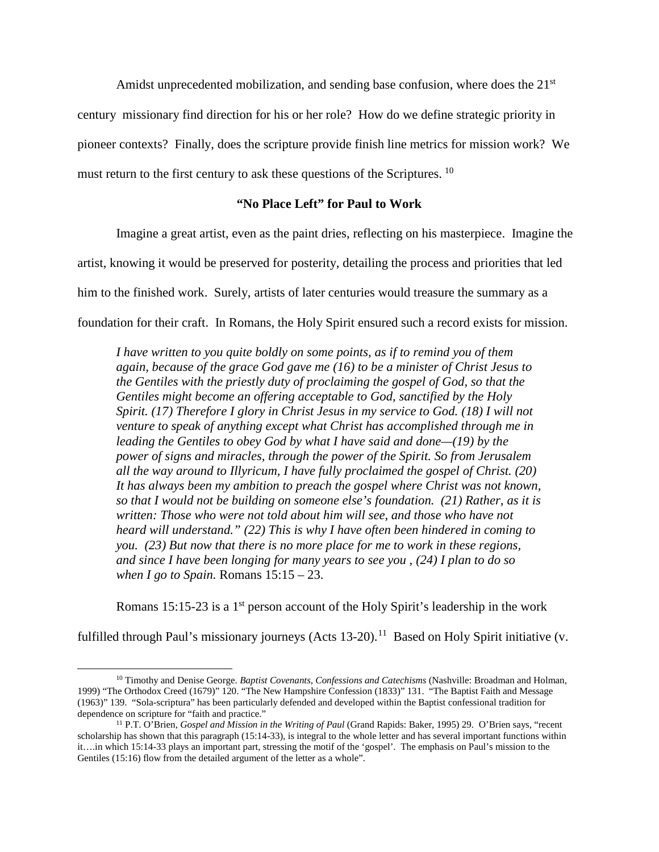Amidst unprecedented mobilization, and sending base confusion, where does the  $21<sup>st</sup>$ 

century missionary find direction for his or her role? How do we define strategic priority in

pioneer contexts? Finally, does the scripture provide finish line metrics for mission work? We

must return to the first century to ask these questions of the Scriptures.<sup>10</sup>

# **"No Place Left" for Paul to Work**

Imagine a great artist, even as the paint dries, reflecting on his masterpiece. Imagine the

artist, knowing it would be preserved for posterity, detailing the process and priorities that led

him to the finished work. Surely, artists of later centuries would treasure the summary as a

foundation for their craft. In Romans, the Holy Spirit ensured such a record exists for mission.

*I have written to you quite boldly on some points, as if to remind you of them again, because of the grace God gave me (16) to be a minister of Christ Jesus to the Gentiles with the priestly duty of proclaiming the gospel of God, so that the Gentiles might become an offering acceptable to God, sanctified by the Holy Spirit. (17) Therefore I glory in Christ Jesus in my service to God. (18) I will not venture to speak of anything except what Christ has accomplished through me in leading the Gentiles to obey God by what I have said and done—(19) by the power of signs and miracles, through the power of the Spirit. So from Jerusalem all the way around to Illyricum, I have fully proclaimed the gospel of Christ. (20) It has always been my ambition to preach the gospel where Christ was not known, so that I would not be building on someone else's foundation. (21) Rather, as it is written: Those who were not told about him will see, and those who have not heard will understand." (22) This is why I have often been hindered in coming to you. (23) But now that there is no more place for me to work in these regions, and since I have been longing for many years to see you , (24) I plan to do so when I go to Spain.* Romans 15:15 – 23.

Romans 15:15-23 is a  $1<sup>st</sup>$  person account of the Holy Spirit's leadership in the work

fulfilled through Paul's missionary journeys (Acts  $13-20$ ).<sup>11</sup> Based on Holy Spirit initiative (v.

<span id="page-2-0"></span><sup>10</sup> Timothy and Denise George. *Baptist Covenants, Confessions and Catechisms* (Nashville: Broadman and Holman, 1999) "The Orthodox Creed (1679)" 120. "The New Hampshire Confession (1833)" 131. "The Baptist Faith and Message (1963)" 139. "Sola-scriptura" has been particularly defended and developed within the Baptist confessional tradition for dependence on scripture for "faith and practice."

<span id="page-2-1"></span><sup>11</sup> P.T. O'Brien, *Gospel and Mission in the Writing of Paul* (Grand Rapids: Baker, 1995) 29. O'Brien says, "recent scholarship has shown that this paragraph (15:14-33), is integral to the whole letter and has several important functions within it….in which 15:14-33 plays an important part, stressing the motif of the 'gospel'. The emphasis on Paul's mission to the Gentiles (15:16) flow from the detailed argument of the letter as a whole".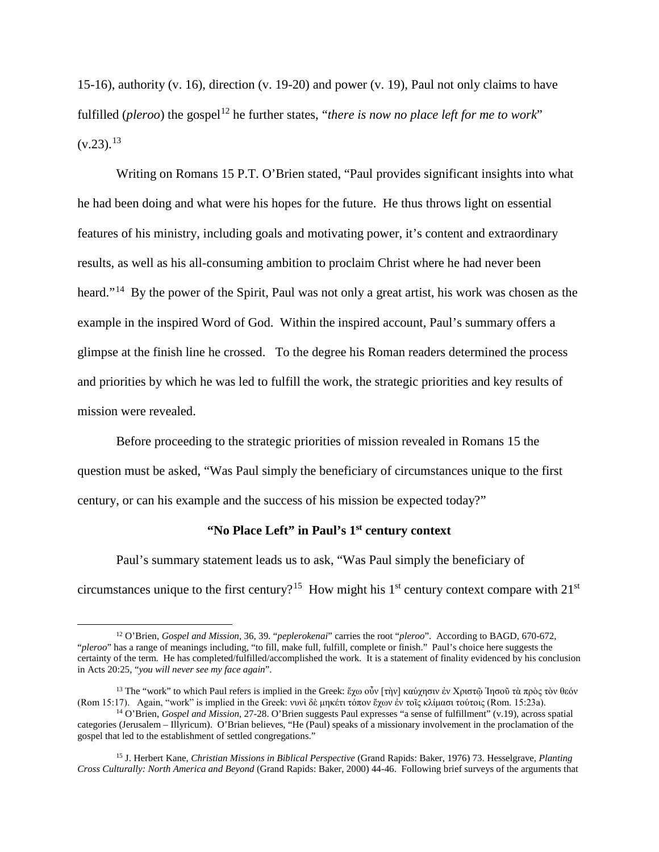15-16), authority (v. 16), direction (v. 19-20) and power (v. 19), Paul not only claims to have fulfilled (*pleroo*) the gospel<sup>[12](#page-3-0)</sup> he further states, "*there is now no place left for me to work*"  $(v.23)$ .<sup>13</sup>

Writing on Romans 15 P.T. O'Brien stated, "Paul provides significant insights into what he had been doing and what were his hopes for the future. He thus throws light on essential features of his ministry, including goals and motivating power, it's content and extraordinary results, as well as his all-consuming ambition to proclaim Christ where he had never been heard."<sup>14</sup> By the power of the Spirit, Paul was not only a great artist, his work was chosen as the example in the inspired Word of God. Within the inspired account, Paul's summary offers a glimpse at the finish line he crossed. To the degree his Roman readers determined the process and priorities by which he was led to fulfill the work, the strategic priorities and key results of mission were revealed.

Before proceeding to the strategic priorities of mission revealed in Romans 15 the question must be asked, "Was Paul simply the beneficiary of circumstances unique to the first century, or can his example and the success of his mission be expected today?"

## **"No Place Left" in Paul's 1st century context**

Paul's summary statement leads us to ask, "Was Paul simply the beneficiary of circumstances unique to the first century?<sup>15</sup> How might his  $1<sup>st</sup>$  century context compare with  $21<sup>st</sup>$ 

 $\overline{\phantom{a}}$ 

<span id="page-3-0"></span><sup>12</sup> O'Brien, *Gospel and Mission*, 36, 39. "*peplerokenai*" carries the root "*pleroo*". According to BAGD, 670-672, "*pleroo*" has a range of meanings including, "to fill, make full, fulfill, complete or finish." Paul's choice here suggests the certainty of the term. He has completed/fulfilled/accomplished the work. It is a statement of finality evidenced by his conclusion in Acts 20:25, "*you will never see my face again*".

<span id="page-3-1"></span><sup>13</sup> The "work" to which Paul refers is implied in the Greek: ἔχω οὖν [τὴν] καύχησιν ἐν Χριστῷ Ἰησοῦ τὰ πρὸς τὸν θεόν (Rom 15:17). Again, "work" is implied in the Greek: νυνὶ δὲ μηκέτι τόπον ἔχων ἐν τοῖς κλίμασι τούτοις (Rom. 15:23a).

<span id="page-3-2"></span><sup>14</sup> O'Brien, *Gospel and Mission*, 27-28. O'Brien suggests Paul expresses "a sense of fulfillment" (v.19), across spatial categories (Jerusalem – Illyricum). O'Brian believes, "He (Paul) speaks of a missionary involvement in the proclamation of the gospel that led to the establishment of settled congregations."

<span id="page-3-3"></span><sup>15</sup> J. Herbert Kane, *Christian Missions in Biblical Perspective* (Grand Rapids: Baker, 1976) 73. Hesselgrave, *Planting Cross Culturally: North America and Beyond* (Grand Rapids: Baker, 2000) 44-46. Following brief surveys of the arguments that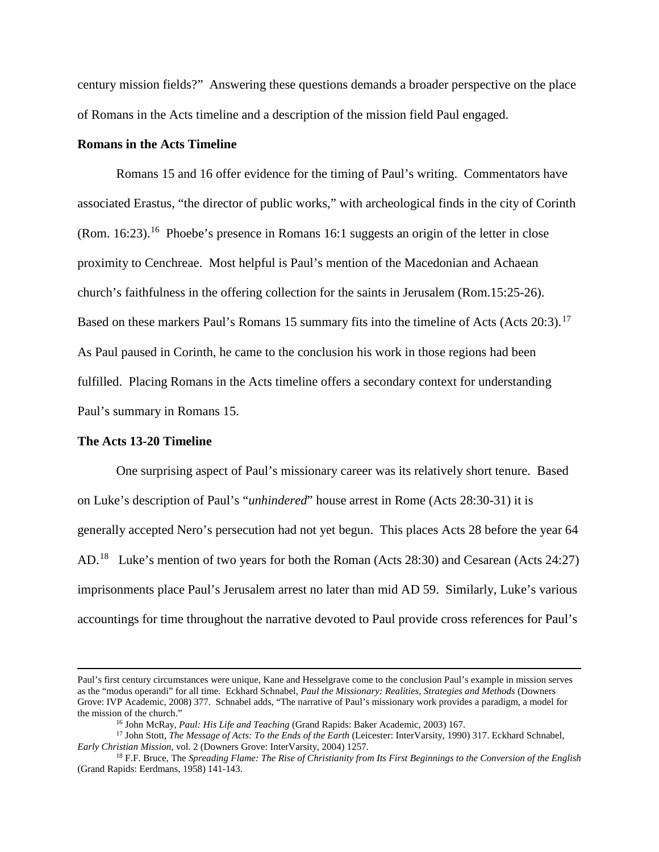century mission fields?" Answering these questions demands a broader perspective on the place of Romans in the Acts timeline and a description of the mission field Paul engaged.

## **Romans in the Acts Timeline**

Romans 15 and 16 offer evidence for the timing of Paul's writing. Commentators have associated Erastus, "the director of public works," with archeological finds in the city of Corinth (Rom. 16:23).[16](#page-4-0) Phoebe's presence in Romans 16:1 suggests an origin of the letter in close proximity to Cenchreae. Most helpful is Paul's mention of the Macedonian and Achaean church's faithfulness in the offering collection for the saints in Jerusalem (Rom.15:25-26). Based on these markers Paul's Romans 15 summary fits into the timeline of Acts (Acts  $20:3$ ).<sup>17</sup> As Paul paused in Corinth, he came to the conclusion his work in those regions had been fulfilled. Placing Romans in the Acts timeline offers a secondary context for understanding Paul's summary in Romans 15.

## **The Acts 13-20 Timeline**

l

One surprising aspect of Paul's missionary career was its relatively short tenure. Based on Luke's description of Paul's "*unhindered*" house arrest in Rome (Acts 28:30-31) it is generally accepted Nero's persecution had not yet begun. This places Acts 28 before the year 64 AD.<sup>[18](#page-4-2)</sup> Luke's mention of two years for both the Roman (Acts 28:30) and Cesarean (Acts 24:27) imprisonments place Paul's Jerusalem arrest no later than mid AD 59. Similarly, Luke's various accountings for time throughout the narrative devoted to Paul provide cross references for Paul's

Paul's first century circumstances were unique, Kane and Hesselgrave come to the conclusion Paul's example in mission serves as the "modus operandi" for all time. Eckhard Schnabel, *Paul the Missionary: Realities, Strategies and Methods* (Downers Grove: IVP Academic, 2008) 377. Schnabel adds, "The narrative of Paul's missionary work provides a paradigm, a model for the mission of the church."

<sup>16</sup> John McRay, *Paul: His Life and Teaching* (Grand Rapids: Baker Academic, 2003) 167.

<span id="page-4-1"></span><span id="page-4-0"></span><sup>&</sup>lt;sup>17</sup> John Stott, *The Message of Acts: To the Ends of the Earth* (Leicester: InterVarsity, 1990) 317. Eckhard Schnabel, *Early Christian Mission*, vol. 2 (Downers Grove: InterVarsity, 2004) 1257.

<span id="page-4-2"></span><sup>&</sup>lt;sup>18</sup> F.F. Bruce, The *Spreading Flame: The Rise of Christianity from Its First Beginnings to the Conversion of the English* (Grand Rapids: Eerdmans, 1958) 141-143.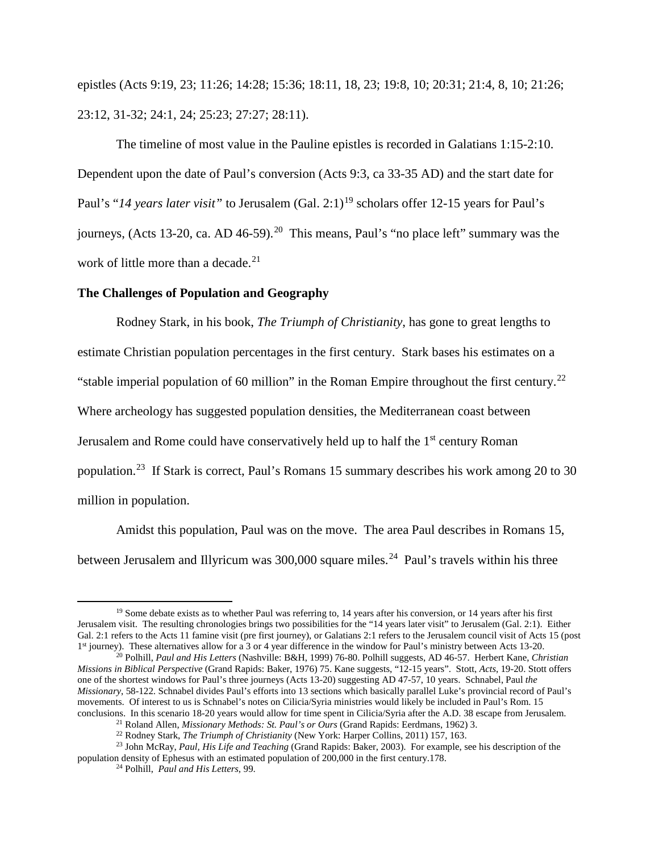epistles (Acts 9:19, 23; 11:26; 14:28; 15:36; 18:11, 18, 23; 19:8, 10; 20:31; 21:4, 8, 10; 21:26; 23:12, 31-32; 24:1, 24; 25:23; 27:27; 28:11).

The timeline of most value in the Pauline epistles is recorded in Galatians 1:15-2:10. Dependent upon the date of Paul's conversion (Acts 9:3, ca 33-35 AD) and the start date for Paul's "14 years later visit" to Jerusalem (Gal. 2:1)<sup>[19](#page-5-0)</sup> scholars offer 12-15 years for Paul's journeys, (Acts 13-20, ca. AD 46-59).<sup>20</sup> This means, Paul's "no place left" summary was the work of little more than a decade. $21$ 

## **The Challenges of Population and Geography**

Rodney Stark, in his book, *The Triumph of Christianity*, has gone to great lengths to estimate Christian population percentages in the first century. Stark bases his estimates on a "stable imperial population of 60 million" in the Roman Empire throughout the first century.<sup>22</sup> Where archeology has suggested population densities, the Mediterranean coast between Jerusalem and Rome could have conservatively held up to half the 1<sup>st</sup> century Roman population.[23](#page-5-4) If Stark is correct, Paul's Romans 15 summary describes his work among 20 to 30 million in population.

Amidst this population, Paul was on the move. The area Paul describes in Romans 15, between Jerusalem and Illyricum was 300,000 square miles.<sup>24</sup> Paul's travels within his three

<span id="page-5-0"></span> $19$  Some debate exists as to whether Paul was referring to, 14 years after his conversion, or 14 years after his first Jerusalem visit. The resulting chronologies brings two possibilities for the "14 years later visit" to Jerusalem (Gal. 2:1). Either Gal. 2:1 refers to the Acts 11 famine visit (pre first journey), or Galatians 2:1 refers to the Jerusalem council visit of Acts 15 (post 1st journey). These alternatives allow for a 3 or 4 year difference in the window for Paul's ministry between Acts 13-20.

<span id="page-5-1"></span><sup>20</sup> Polhill, *Paul and His Letters* (Nashville: B&H, 1999) 76-80. Polhill suggests, AD 46-57. Herbert Kane, *Christian Missions in Biblical Perspective* (Grand Rapids: Baker, 1976) 75. Kane suggests, "12-15 years". Stott, *Acts*, 19-20. Stott offers one of the shortest windows for Paul's three journeys (Acts 13-20) suggesting AD 47-57, 10 years. Schnabel, Paul *the Missionary*, 58-122. Schnabel divides Paul's efforts into 13 sections which basically parallel Luke's provincial record of Paul's movements. Of interest to us is Schnabel's notes on Cilicia/Syria ministries would likely be included in Paul's Rom. 15 conclusions. In this scenario 18-20 years would allow for time spent in Cilicia/Syria after the A.D. 38 escape from Jerusalem.

<sup>&</sup>lt;sup>21</sup> Roland Allen, *Missionary Methods: St. Paul's or Ours* (Grand Rapids: Eerdmans, 1962) 3.<br><sup>22</sup> Rodney Stark, *The Triumph of Christianity* (New York: Harper Collins, 2011) 157, 163.

<span id="page-5-5"></span><span id="page-5-4"></span><span id="page-5-3"></span><span id="page-5-2"></span><sup>&</sup>lt;sup>23</sup> John McRay, *Paul, His Life and Teaching* (Grand Rapids: Baker, 2003). For example, see his description of the population density of Ephesus with an estimated population of 200,000 in the first century.178.

<sup>24</sup> Polhill, *Paul and His Letters*, 99.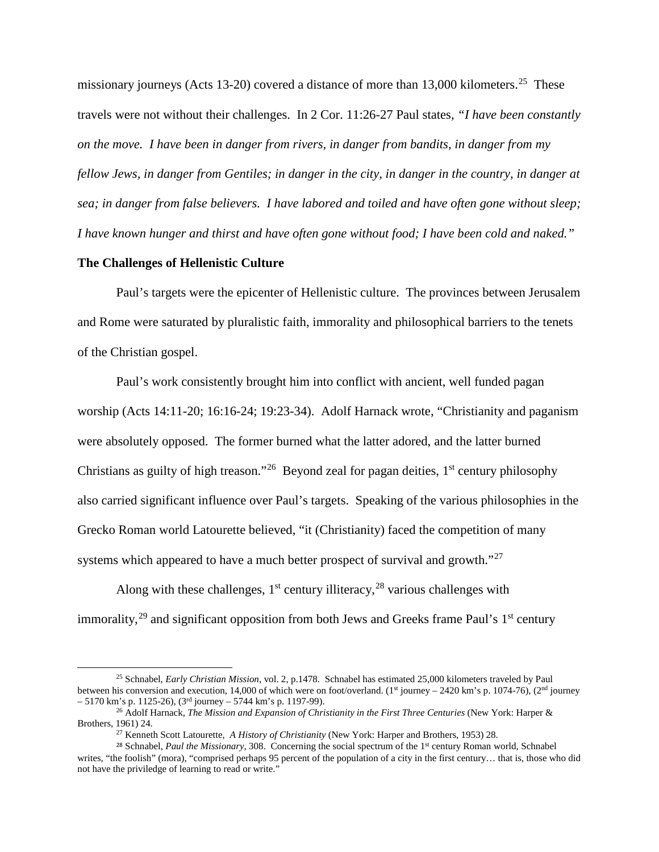missionary journeys (Acts 13-20) covered a distance of more than 13,000 kilometers.<sup>[25](#page-6-0)</sup> These travels were not without their challenges. In 2 Cor. 11:26-27 Paul states, *"I have been constantly on the move. I have been in danger from rivers, in danger from bandits, in danger from my fellow Jews, in danger from Gentiles; in danger in the city, in danger in the country, in danger at sea; in danger from false believers. I have labored and toiled and have often gone without sleep; I have known hunger and thirst and have often gone without food; I have been cold and naked."*

## **The Challenges of Hellenistic Culture**

 $\overline{\phantom{a}}$ 

Paul's targets were the epicenter of Hellenistic culture. The provinces between Jerusalem and Rome were saturated by pluralistic faith, immorality and philosophical barriers to the tenets of the Christian gospel.

Paul's work consistently brought him into conflict with ancient, well funded pagan worship (Acts 14:11-20; 16:16-24; 19:23-34). Adolf Harnack wrote, "Christianity and paganism were absolutely opposed. The former burned what the latter adored, and the latter burned Christians as guilty of high treason."<sup>[26](#page-6-1)</sup> Beyond zeal for pagan deities,  $1<sup>st</sup>$  century philosophy also carried significant influence over Paul's targets. Speaking of the various philosophies in the Grecko Roman world Latourette believed, "it (Christianity) faced the competition of many systems which appeared to have a much better prospect of survival and growth."<sup>27</sup>

Along with these challenges,  $1<sup>st</sup>$  century illiteracy,  $^{28}$  $^{28}$  $^{28}$  various challenges with immorality,  $29$  and significant opposition from both Jews and Greeks frame Paul's  $1<sup>st</sup>$  century

<span id="page-6-0"></span><sup>25</sup> Schnabel, *Early Christian Mission*, vol. 2, p.1478. Schnabel has estimated 25,000 kilometers traveled by Paul between his conversion and execution, 14,000 of which were on foot/overland. (1<sup>st</sup> journey – 2420 km's p. 1074-76), (2<sup>nd</sup> journey  $-5170$  km's p. 1125-26), (3<sup>rd</sup> journey – 5744 km's p. 1197-99).

<span id="page-6-4"></span><span id="page-6-1"></span><sup>26</sup> Adolf Harnack, *The Mission and Expansion of Christianity in the First Three Centuries* (New York: Harper & Brothers, 1961) 24.

<sup>27</sup> Kenneth Scott Latourette, *A History of Christianity* (New York: Harper and Brothers, 1953) 28.

<span id="page-6-3"></span><span id="page-6-2"></span><sup>&</sup>lt;sup>28</sup> Schnabel, *Paul the Missionary*, 308. Concerning the social spectrum of the 1<sup>st</sup> century Roman world, Schnabel writes, "the foolish" (mora), "comprised perhaps 95 percent of the population of a city in the first century... that is, those who did not have the priviledge of learning to read or write."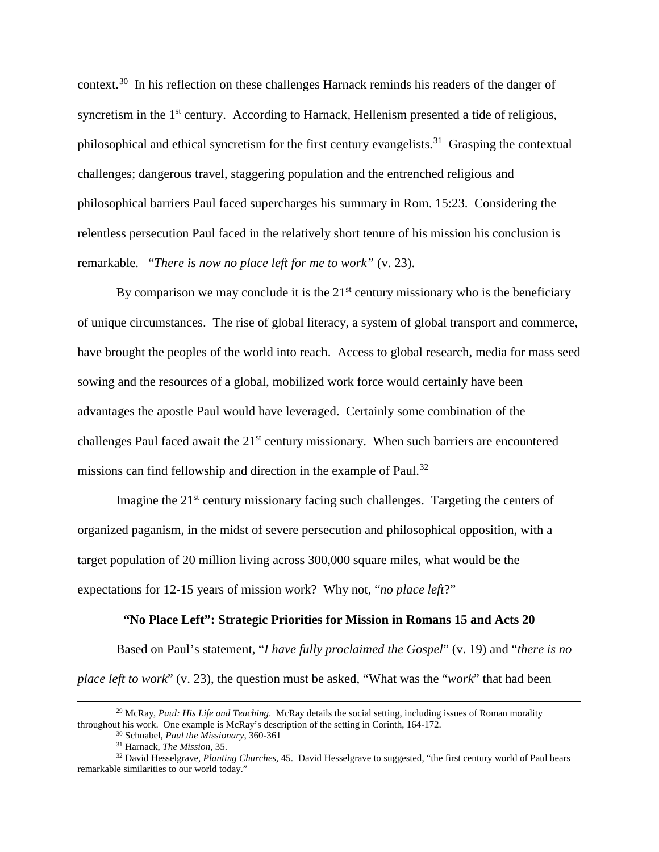context.<sup>[30](#page-7-0)</sup> In his reflection on these challenges Harnack reminds his readers of the danger of syncretism in the 1<sup>st</sup> century. According to Harnack, Hellenism presented a tide of religious, philosophical and ethical syncretism for the first century evangelists.<sup>[31](#page-7-1)</sup> Grasping the contextual challenges; dangerous travel, staggering population and the entrenched religious and philosophical barriers Paul faced supercharges his summary in Rom. 15:23. Considering the relentless persecution Paul faced in the relatively short tenure of his mission his conclusion is remarkable. "*There is now no place left for me to work"* (v. 23).

By comparison we may conclude it is the  $21<sup>st</sup>$  century missionary who is the beneficiary of unique circumstances. The rise of global literacy, a system of global transport and commerce, have brought the peoples of the world into reach. Access to global research, media for mass seed sowing and the resources of a global, mobilized work force would certainly have been advantages the apostle Paul would have leveraged. Certainly some combination of the challenges Paul faced await the  $21<sup>st</sup>$  century missionary. When such barriers are encountered missions can find fellowship and direction in the example of Paul.<sup>[32](#page-7-2)</sup>

Imagine the  $21<sup>st</sup>$  century missionary facing such challenges. Targeting the centers of organized paganism, in the midst of severe persecution and philosophical opposition, with a target population of 20 million living across 300,000 square miles, what would be the expectations for 12-15 years of mission work? Why not, "*no place left*?"

#### **"No Place Left": Strategic Priorities for Mission in Romans 15 and Acts 20**

Based on Paul's statement, "*I have fully proclaimed the Gospel*" (v. 19) and "*there is no place left to work*" (v. 23), the question must be asked, "What was the "*work*" that had been

<span id="page-7-0"></span><sup>&</sup>lt;sup>29</sup> McRay, *Paul: His Life and Teaching*. McRay details the social setting, including issues of Roman morality throughout his work. One example is McRay's description of the setting in Corinth, 164-172. 30 Schnabel, *Paul the Missionary*, 360-361

<sup>31</sup> Harnack, *The Mission*, 35.

<span id="page-7-2"></span><span id="page-7-1"></span><sup>32</sup> David Hesselgrave, *Planting Churches*, 45. David Hesselgrave to suggested, "the first century world of Paul bears remarkable similarities to our world today."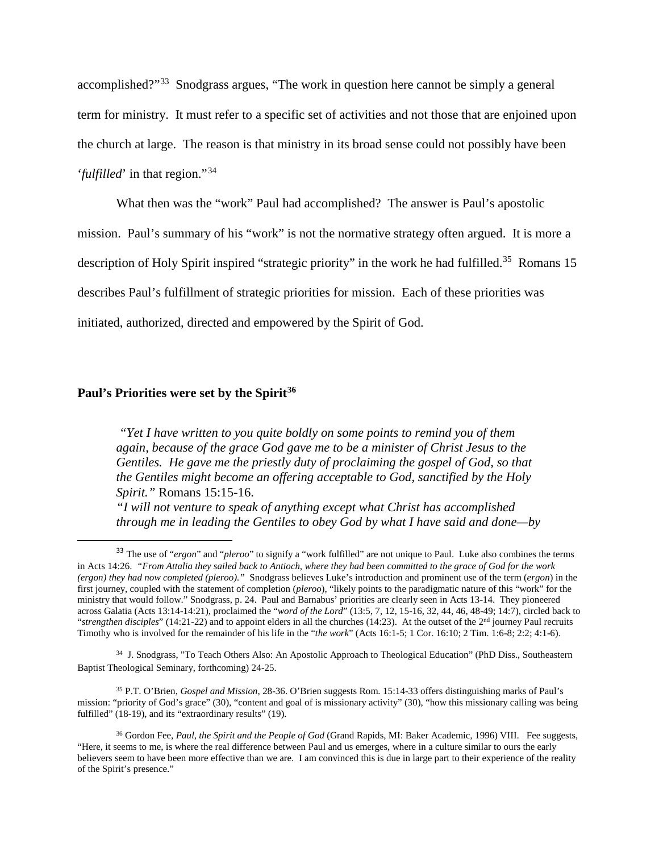accomplished?"[33](#page-8-0) Snodgrass argues, "The work in question here cannot be simply a general term for ministry. It must refer to a specific set of activities and not those that are enjoined upon the church at large. The reason is that ministry in its broad sense could not possibly have been '*fulfilled*' in that region."[34](#page-8-1)

What then was the "work" Paul had accomplished? The answer is Paul's apostolic mission. Paul's summary of his "work" is not the normative strategy often argued. It is more a description of Holy Spirit inspired "strategic priority" in the work he had fulfilled.<sup>35</sup> Romans 15 describes Paul's fulfillment of strategic priorities for mission. Each of these priorities was initiated, authorized, directed and empowered by the Spirit of God.

# **Paul's Priorities were set by the Spirit[36](#page-8-3)**

*"Yet I have written to you quite boldly on some points to remind you of them again, because of the grace God gave me to be a minister of Christ Jesus to the Gentiles. He gave me the priestly duty of proclaiming the gospel of God, so that the Gentiles might become an offering acceptable to God, sanctified by the Holy Spirit."* Romans 15:15-16.

*"I will not venture to speak of anything except what Christ has accomplished through me in leading the Gentiles to obey God by what I have said and done—by* 

<span id="page-8-1"></span>34 J. Snodgrass, "To Teach Others Also: An Apostolic Approach to Theological Education" (PhD Diss., Southeastern Baptist Theological Seminary, forthcoming) 24-25.

<span id="page-8-2"></span><sup>35</sup> P.T. O'Brien, *Gospel and Mission*, 28-36. O'Brien suggests Rom. 15:14-33 offers distinguishing marks of Paul's mission: "priority of God's grace" (30), "content and goal of is missionary activity" (30), "how this missionary calling was being fulfilled" (18-19), and its "extraordinary results" (19).

<span id="page-8-0"></span> <sup>33</sup> The use of "*ergon*" and "*pleroo*" to signify a "work fulfilled" are not unique to Paul. Luke also combines the terms in Acts 14:26. *"From Attalia they sailed back to Antioch, where they had been committed to the grace of God for the work (ergon) they had now completed (pleroo)."* Snodgrass believes Luke's introduction and prominent use of the term (*ergon*) in the first journey, coupled with the statement of completion (*pleroo*), "likely points to the paradigmatic nature of this "work" for the ministry that would follow." Snodgrass, p. 24. Paul and Barnabus' priorities are clearly seen in Acts 13-14. They pioneered across Galatia (Acts 13:14-14:21), proclaimed the "*word of the Lord*" (13:5, 7, 12, 15-16, 32, 44, 46, 48-49; 14:7), circled back to "*strengthen disciples*" (14:21-22) and to appoint elders in all the churches (14:23). At the outset of the  $2<sup>nd</sup>$  journey Paul recruits Timothy who is involved for the remainder of his life in the "*the work*" (Acts 16:1-5; 1 Cor. 16:10; 2 Tim. 1:6-8; 2:2; 4:1-6).

<span id="page-8-3"></span><sup>36</sup> Gordon Fee, *Paul, the Spirit and the People of God* (Grand Rapids, MI: Baker Academic, 1996) VIII. Fee suggests, "Here, it seems to me, is where the real difference between Paul and us emerges, where in a culture similar to ours the early believers seem to have been more effective than we are. I am convinced this is due in large part to their experience of the reality of the Spirit's presence."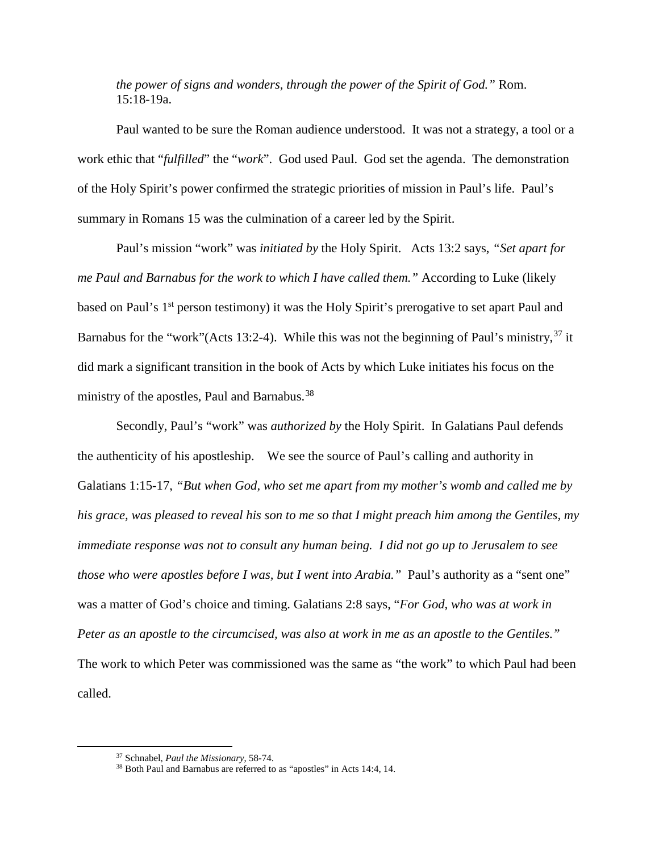*the power of signs and wonders, through the power of the Spirit of God."* Rom. 15:18-19a.

Paul wanted to be sure the Roman audience understood. It was not a strategy, a tool or a work ethic that "*fulfilled*" the "*work*". God used Paul. God set the agenda. The demonstration of the Holy Spirit's power confirmed the strategic priorities of mission in Paul's life. Paul's summary in Romans 15 was the culmination of a career led by the Spirit.

Paul's mission "work" was *initiated by* the Holy Spirit. Acts 13:2 says, *"Set apart for me Paul and Barnabus for the work to which I have called them."* According to Luke (likely based on Paul's 1<sup>st</sup> person testimony) it was the Holy Spirit's prerogative to set apart Paul and Barnabus for the "work" (Acts 13:2-4). While this was not the beginning of Paul's ministry,  $37$  it did mark a significant transition in the book of Acts by which Luke initiates his focus on the ministry of the apostles, Paul and Barnabus.<sup>[38](#page-9-1)</sup>

Secondly, Paul's "work" was *authorized by* the Holy Spirit. In Galatians Paul defends the authenticity of his apostleship. We see the source of Paul's calling and authority in Galatians 1:15-17, *"But when God, who set me apart from my mother's womb and called me by his grace, was pleased to reveal his son to me so that I might preach him among the Gentiles, my immediate response was not to consult any human being. I did not go up to Jerusalem to see those who were apostles before I was, but I went into Arabia."* Paul's authority as a "sent one" was a matter of God's choice and timing. Galatians 2:8 says, "*For God, who was at work in Peter as an apostle to the circumcised, was also at work in me as an apostle to the Gentiles."* The work to which Peter was commissioned was the same as "the work" to which Paul had been called.

<span id="page-9-0"></span><sup>37</sup> Schnabel, *Paul the Missionary*, 58-74.

<span id="page-9-1"></span><sup>38</sup> Both Paul and Barnabus are referred to as "apostles" in Acts 14:4, 14.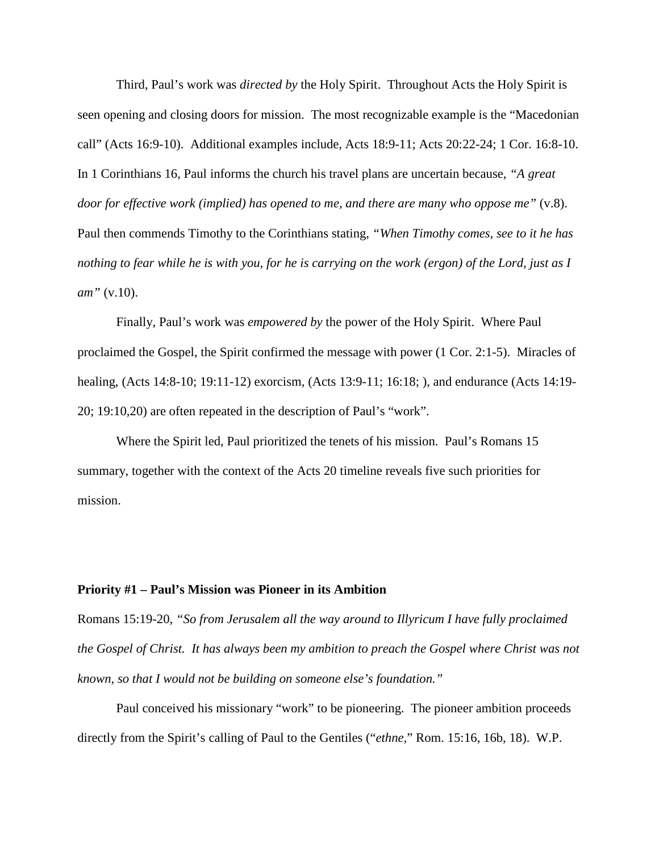Third, Paul's work was *directed by* the Holy Spirit. Throughout Acts the Holy Spirit is seen opening and closing doors for mission. The most recognizable example is the "Macedonian call" (Acts 16:9-10). Additional examples include, Acts 18:9-11; Acts 20:22-24; 1 Cor. 16:8-10. In 1 Corinthians 16, Paul informs the church his travel plans are uncertain because, *"A great door for effective work (implied) has opened to me, and there are many who oppose me*" (v.8). Paul then commends Timothy to the Corinthians stating, *"When Timothy comes, see to it he has nothing to fear while he is with you, for he is carrying on the work (ergon) of the Lord, just as I am"* (v.10).

Finally, Paul's work was *empowered by* the power of the Holy Spirit. Where Paul proclaimed the Gospel, the Spirit confirmed the message with power (1 Cor. 2:1-5). Miracles of healing, (Acts 14:8-10; 19:11-12) exorcism, (Acts 13:9-11; 16:18; ), and endurance (Acts 14:19- 20; 19:10,20) are often repeated in the description of Paul's "work".

Where the Spirit led, Paul prioritized the tenets of his mission. Paul's Romans 15 summary, together with the context of the Acts 20 timeline reveals five such priorities for mission.

### **Priority #1 – Paul's Mission was Pioneer in its Ambition**

Romans 15:19-20, *"So from Jerusalem all the way around to Illyricum I have fully proclaimed the Gospel of Christ. It has always been my ambition to preach the Gospel where Christ was not known, so that I would not be building on someone else's foundation."* 

Paul conceived his missionary "work" to be pioneering. The pioneer ambition proceeds directly from the Spirit's calling of Paul to the Gentiles ("*ethne,*" Rom. 15:16, 16b, 18). W.P.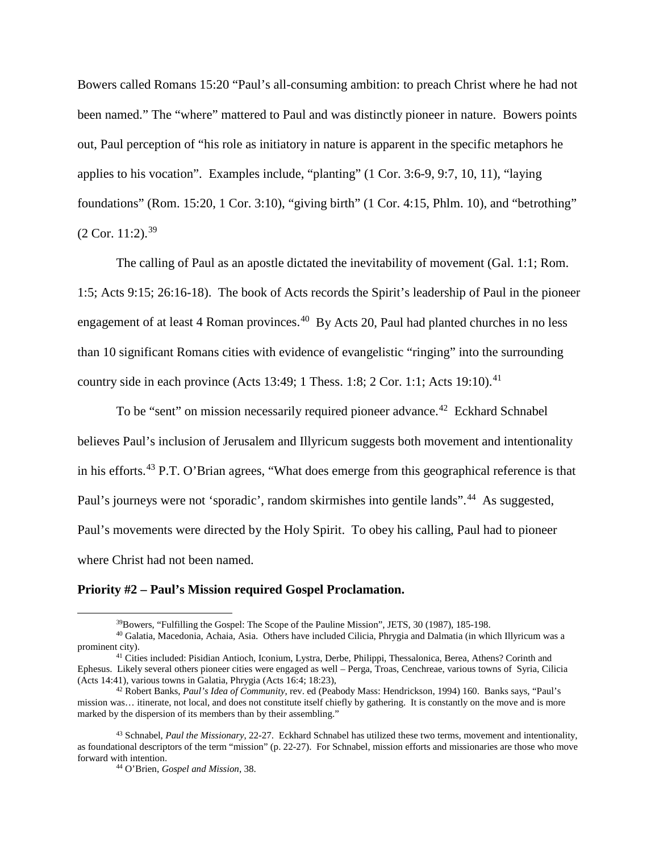Bowers called Romans 15:20 "Paul's all-consuming ambition: to preach Christ where he had not been named." The "where" mattered to Paul and was distinctly pioneer in nature. Bowers points out, Paul perception of "his role as initiatory in nature is apparent in the specific metaphors he applies to his vocation". Examples include, "planting" (1 Cor. 3:6-9, 9:7, 10, 11), "laying foundations" (Rom. 15:20, 1 Cor. 3:10), "giving birth" (1 Cor. 4:15, Phlm. 10), and "betrothing"  $(2$  Cor. 11:2).<sup>[39](#page-11-0)</sup>

The calling of Paul as an apostle dictated the inevitability of movement (Gal. 1:1; Rom. 1:5; Acts 9:15; 26:16-18). The book of Acts records the Spirit's leadership of Paul in the pioneer engagement of at least 4 Roman provinces.<sup>40</sup> By Acts 20, Paul had planted churches in no less than 10 significant Romans cities with evidence of evangelistic "ringing" into the surrounding country side in each province (Acts 13:49; 1 Thess. 1:8; 2 Cor. 1:1; Acts 19:10).<sup>[41](#page-11-2)</sup>

To be "sent" on mission necessarily required pioneer advance.<sup>[42](#page-11-3)</sup> Eckhard Schnabel believes Paul's inclusion of Jerusalem and Illyricum suggests both movement and intentionality in his efforts.[43](#page-11-4) P.T. O'Brian agrees, "What does emerge from this geographical reference is that Paul's journeys were not 'sporadic', random skirmishes into gentile lands".<sup>[44](#page-11-5)</sup> As suggested, Paul's movements were directed by the Holy Spirit. To obey his calling, Paul had to pioneer where Christ had not been named.

### **Priority #2 – Paul's Mission required Gospel Proclamation.**

<sup>39</sup>Bowers, "Fulfilling the Gospel: The Scope of the Pauline Mission", JETS, 30 (1987), 185-198.

<span id="page-11-1"></span><span id="page-11-0"></span><sup>40</sup> Galatia, Macedonia, Achaia, Asia. Others have included Cilicia, Phrygia and Dalmatia (in which Illyricum was a prominent city).

<span id="page-11-2"></span><sup>41</sup> Cities included: Pisidian Antioch, Iconium, Lystra, Derbe, Philippi, Thessalonica, Berea, Athens? Corinth and Ephesus. Likely several others pioneer cities were engaged as well – Perga, Troas, Cenchreae, various towns of Syria, Cilicia (Acts 14:41), various towns in Galatia, Phrygia (Acts 16:4; 18:23),

<span id="page-11-3"></span><sup>42</sup> Robert Banks, *Paul's Idea of Community*, rev. ed (Peabody Mass: Hendrickson, 1994) 160. Banks says, "Paul's mission was… itinerate, not local, and does not constitute itself chiefly by gathering. It is constantly on the move and is more marked by the dispersion of its members than by their assembling."

<span id="page-11-5"></span><span id="page-11-4"></span><sup>43</sup> Schnabel, *Paul the Missionary*, 22-27. Eckhard Schnabel has utilized these two terms, movement and intentionality, as foundational descriptors of the term "mission" (p. 22-27). For Schnabel, mission efforts and missionaries are those who move forward with intention.

<sup>44</sup> O'Brien, *Gospel and Mission*, 38.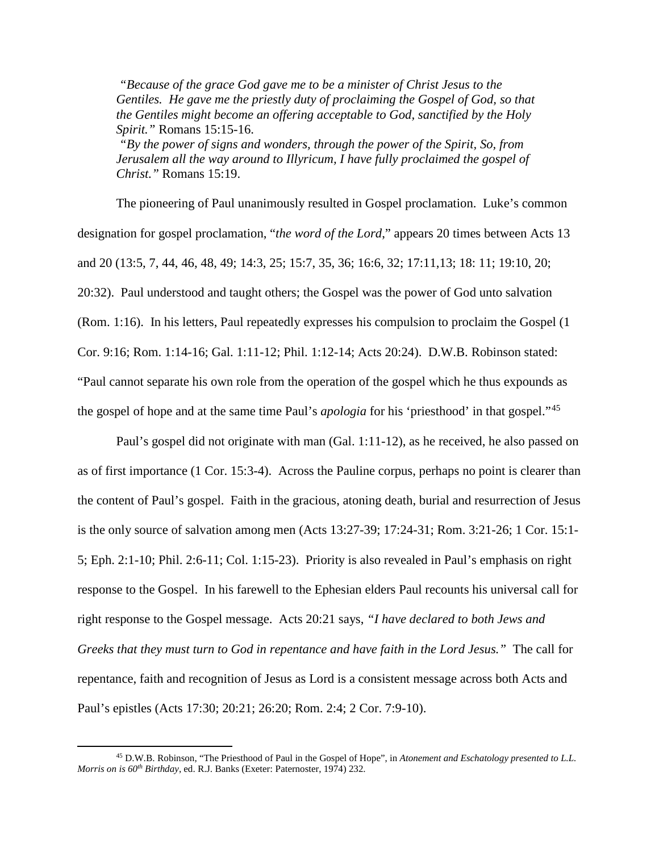*"Because of the grace God gave me to be a minister of Christ Jesus to the Gentiles. He gave me the priestly duty of proclaiming the Gospel of God, so that the Gentiles might become an offering acceptable to God, sanctified by the Holy Spirit."* Romans 15:15-16.

*"By the power of signs and wonders, through the power of the Spirit, So, from Jerusalem all the way around to Illyricum, I have fully proclaimed the gospel of Christ."* Romans 15:19.

The pioneering of Paul unanimously resulted in Gospel proclamation. Luke's common designation for gospel proclamation, "*the word of the Lord*," appears 20 times between Acts 13 and 20 (13:5, 7, 44, 46, 48, 49; 14:3, 25; 15:7, 35, 36; 16:6, 32; 17:11,13; 18: 11; 19:10, 20; 20:32). Paul understood and taught others; the Gospel was the power of God unto salvation (Rom. 1:16). In his letters, Paul repeatedly expresses his compulsion to proclaim the Gospel (1 Cor. 9:16; Rom. 1:14-16; Gal. 1:11-12; Phil. 1:12-14; Acts 20:24). D.W.B. Robinson stated: "Paul cannot separate his own role from the operation of the gospel which he thus expounds as the gospel of hope and at the same time Paul's *apologia* for his 'priesthood' in that gospel."[45](#page-12-0) 

Paul's gospel did not originate with man (Gal. 1:11-12), as he received, he also passed on as of first importance (1 Cor. 15:3-4). Across the Pauline corpus, perhaps no point is clearer than the content of Paul's gospel. Faith in the gracious, atoning death, burial and resurrection of Jesus is the only source of salvation among men (Acts 13:27-39; 17:24-31; Rom. 3:21-26; 1 Cor. 15:1- 5; Eph. 2:1-10; Phil. 2:6-11; Col. 1:15-23). Priority is also revealed in Paul's emphasis on right response to the Gospel. In his farewell to the Ephesian elders Paul recounts his universal call for right response to the Gospel message. Acts 20:21 says, *"I have declared to both Jews and Greeks that they must turn to God in repentance and have faith in the Lord Jesus."* The call for repentance, faith and recognition of Jesus as Lord is a consistent message across both Acts and Paul's epistles (Acts 17:30; 20:21; 26:20; Rom. 2:4; 2 Cor. 7:9-10).

<span id="page-12-0"></span><sup>45</sup> D.W.B. Robinson, "The Priesthood of Paul in the Gospel of Hope", in *Atonement and Eschatology presented to L.L. Morris on is 60th Birthday*, ed. R.J. Banks (Exeter: Paternoster, 1974) 232.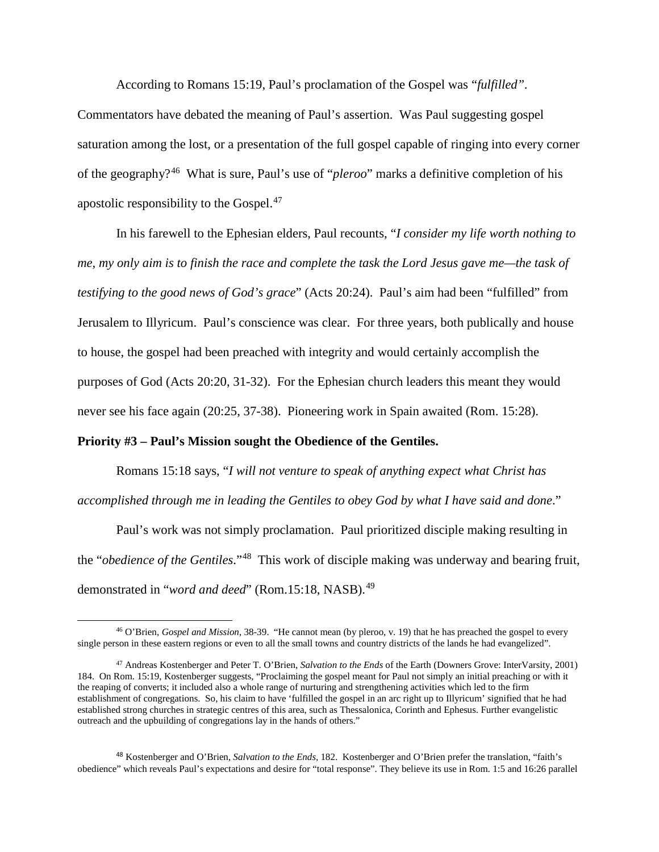According to Romans 15:19, Paul's proclamation of the Gospel was "*fulfilled".*

Commentators have debated the meaning of Paul's assertion. Was Paul suggesting gospel saturation among the lost, or a presentation of the full gospel capable of ringing into every corner of the geography?[46](#page-13-0) What is sure, Paul's use of "*pleroo*" marks a definitive completion of his apostolic responsibility to the Gospel.<sup>[47](#page-13-1)</sup>

In his farewell to the Ephesian elders, Paul recounts, "*I consider my life worth nothing to me, my only aim is to finish the race and complete the task the Lord Jesus gave me—the task of testifying to the good news of God's grace*" (Acts 20:24). Paul's aim had been "fulfilled" from Jerusalem to Illyricum. Paul's conscience was clear. For three years, both publically and house to house, the gospel had been preached with integrity and would certainly accomplish the purposes of God (Acts 20:20, 31-32). For the Ephesian church leaders this meant they would never see his face again (20:25, 37-38). Pioneering work in Spain awaited (Rom. 15:28).

### **Priority #3 – Paul's Mission sought the Obedience of the Gentiles.**

 $\overline{a}$ 

Romans 15:18 says, "*I will not venture to speak of anything expect what Christ has accomplished through me in leading the Gentiles to obey God by what I have said and done*."

Paul's work was not simply proclamation. Paul prioritized disciple making resulting in the "*obedience of the Gentiles*."[48](#page-13-2) This work of disciple making was underway and bearing fruit, demonstrated in "*word and deed*" (Rom.15:18, NASB).<sup>[49](#page-13-3)</sup>

<span id="page-13-0"></span><sup>46</sup> O'Brien, *Gospel and Mission*, 38-39. "He cannot mean (by pleroo, v. 19) that he has preached the gospel to every single person in these eastern regions or even to all the small towns and country districts of the lands he had evangelized".

<span id="page-13-3"></span><span id="page-13-1"></span><sup>47</sup> Andreas Kostenberger and Peter T. O'Brien, *Salvation to the Ends* of the Earth (Downers Grove: InterVarsity, 2001) 184. On Rom. 15:19, Kostenberger suggests, "Proclaiming the gospel meant for Paul not simply an initial preaching or with it the reaping of converts; it included also a whole range of nurturing and strengthening activities which led to the firm establishment of congregations. So, his claim to have 'fulfilled the gospel in an arc right up to Illyricum' signified that he had established strong churches in strategic centres of this area, such as Thessalonica, Corinth and Ephesus. Further evangelistic outreach and the upbuilding of congregations lay in the hands of others."

<span id="page-13-2"></span><sup>48</sup> Kostenberger and O'Brien, *Salvation to the Ends,* 182. Kostenberger and O'Brien prefer the translation, "faith's obedience" which reveals Paul's expectations and desire for "total response". They believe its use in Rom. 1:5 and 16:26 parallel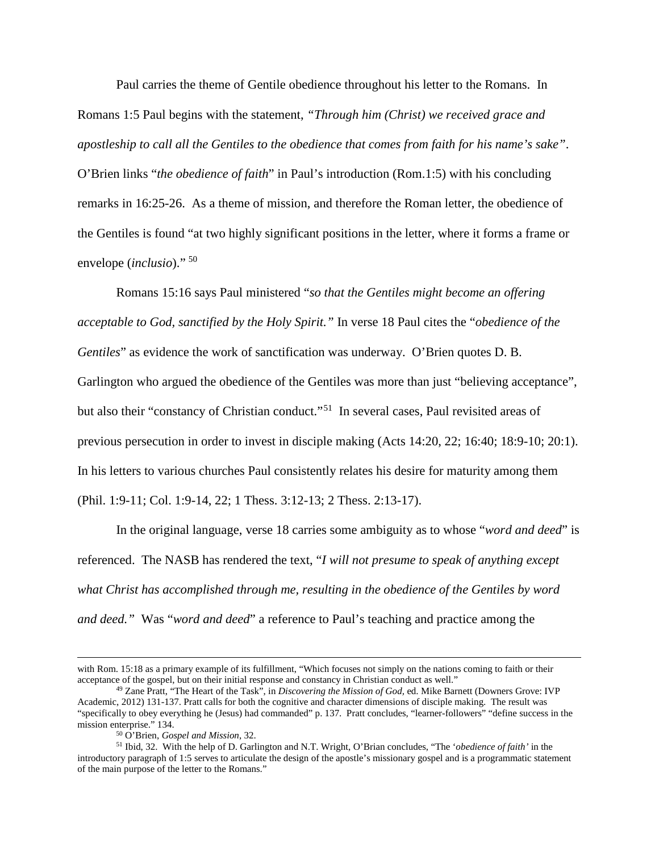Paul carries the theme of Gentile obedience throughout his letter to the Romans. In Romans 1:5 Paul begins with the statement, *"Through him (Christ) we received grace and apostleship to call all the Gentiles to the obedience that comes from faith for his name's sake"*. O'Brien links "*the obedience of faith*" in Paul's introduction (Rom.1:5) with his concluding remarks in 16:25-26. As a theme of mission, and therefore the Roman letter, the obedience of the Gentiles is found "at two highly significant positions in the letter, where it forms a frame or envelope (*inclusio*)." [50](#page-14-0)

Romans 15:16 says Paul ministered "*so that the Gentiles might become an offering acceptable to God, sanctified by the Holy Spirit."* In verse 18 Paul cites the "*obedience of the Gentiles*" as evidence the work of sanctification was underway. O'Brien quotes D. B. Garlington who argued the obedience of the Gentiles was more than just "believing acceptance", but also their "constancy of Christian conduct."<sup>51</sup> In several cases, Paul revisited areas of previous persecution in order to invest in disciple making (Acts 14:20, 22; 16:40; 18:9-10; 20:1). In his letters to various churches Paul consistently relates his desire for maturity among them (Phil. 1:9-11; Col. 1:9-14, 22; 1 Thess. 3:12-13; 2 Thess. 2:13-17).

In the original language, verse 18 carries some ambiguity as to whose "*word and deed*" is referenced. The NASB has rendered the text, "*I will not presume to speak of anything except what Christ has accomplished through me, resulting in the obedience of the Gentiles by word and deed."* Was "*word and deed*" a reference to Paul's teaching and practice among the

 $\overline{\phantom{a}}$ 

with Rom. 15:18 as a primary example of its fulfillment, "Which focuses not simply on the nations coming to faith or their acceptance of the gospel, but on their initial response and constancy in Christian conduct as well."

<sup>49</sup> Zane Pratt, "The Heart of the Task", in *Discovering the Mission of God,* ed. Mike Barnett (Downers Grove: IVP Academic, 2012) 131-137. Pratt calls for both the cognitive and character dimensions of disciple making. The result was "specifically to obey everything he (Jesus) had commanded" p. 137. Pratt concludes, "learner-followers" "define success in the mission enterprise." 134.

<sup>50</sup> O'Brien, *Gospel and Mission*, 32.

<span id="page-14-1"></span><span id="page-14-0"></span><sup>51</sup> Ibid, 32. With the help of D. Garlington and N.T. Wright, O'Brian concludes, "The '*obedience of faith'* in the introductory paragraph of 1:5 serves to articulate the design of the apostle's missionary gospel and is a programmatic statement of the main purpose of the letter to the Romans."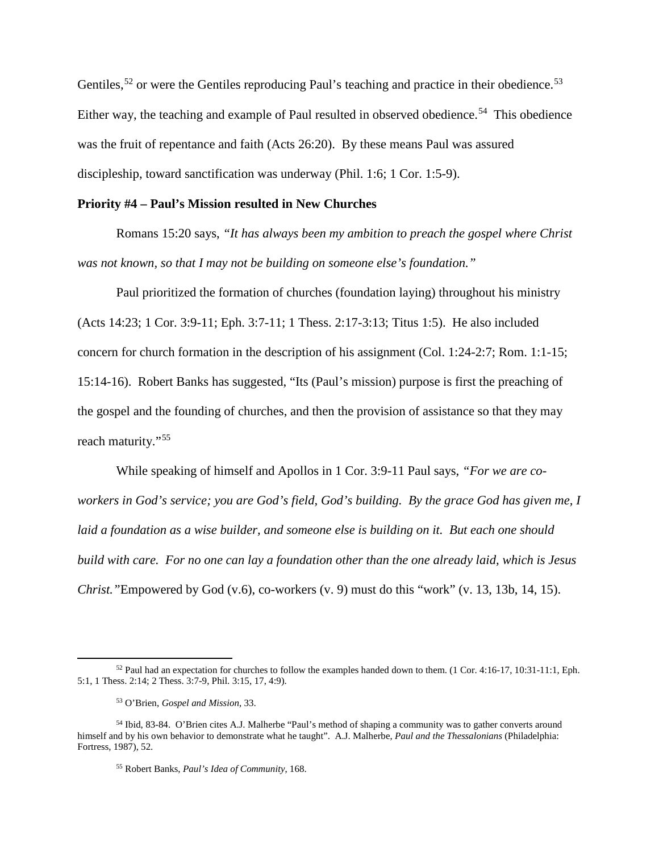Gentiles,  $52$  or were the Gentiles reproducing Paul's teaching and practice in their obedience.  $53$ Either way, the teaching and example of Paul resulted in observed obedience.<sup>54</sup> This obedience was the fruit of repentance and faith (Acts 26:20). By these means Paul was assured discipleship, toward sanctification was underway (Phil. 1:6; 1 Cor. 1:5-9).

# **Priority #4 – Paul's Mission resulted in New Churches**

Romans 15:20 says, *"It has always been my ambition to preach the gospel where Christ was not known, so that I may not be building on someone else's foundation."*

Paul prioritized the formation of churches (foundation laying) throughout his ministry (Acts 14:23; 1 Cor. 3:9-11; Eph. 3:7-11; 1 Thess. 2:17-3:13; Titus 1:5). He also included concern for church formation in the description of his assignment (Col. 1:24-2:7; Rom. 1:1-15; 15:14-16). Robert Banks has suggested, "Its (Paul's mission) purpose is first the preaching of the gospel and the founding of churches, and then the provision of assistance so that they may reach maturity."[55](#page-15-3) 

While speaking of himself and Apollos in 1 Cor. 3:9-11 Paul says, *"For we are coworkers in God's service; you are God's field, God's building. By the grace God has given me, I laid a foundation as a wise builder, and someone else is building on it. But each one should build with care. For no one can lay a foundation other than the one already laid, which is Jesus Christ."*Empowered by God (v.6), co-workers (v. 9) must do this "work" (v. 13, 13b, 14, 15).

<span id="page-15-0"></span><sup>52</sup> Paul had an expectation for churches to follow the examples handed down to them. (1 Cor. 4:16-17, 10:31-11:1, Eph. 5:1, 1 Thess. 2:14; 2 Thess. 3:7-9, Phil. 3:15, 17, 4:9).

<sup>53</sup> O'Brien, *Gospel and Mission*, 33.

<span id="page-15-3"></span><span id="page-15-2"></span><span id="page-15-1"></span><sup>54</sup> Ibid, 83-84. O'Brien cites A.J. Malherbe "Paul's method of shaping a community was to gather converts around himself and by his own behavior to demonstrate what he taught". A.J. Malherbe, *Paul and the Thessalonians* (Philadelphia: Fortress, 1987), 52.

<sup>55</sup> Robert Banks, *Paul's Idea of Community*, 168.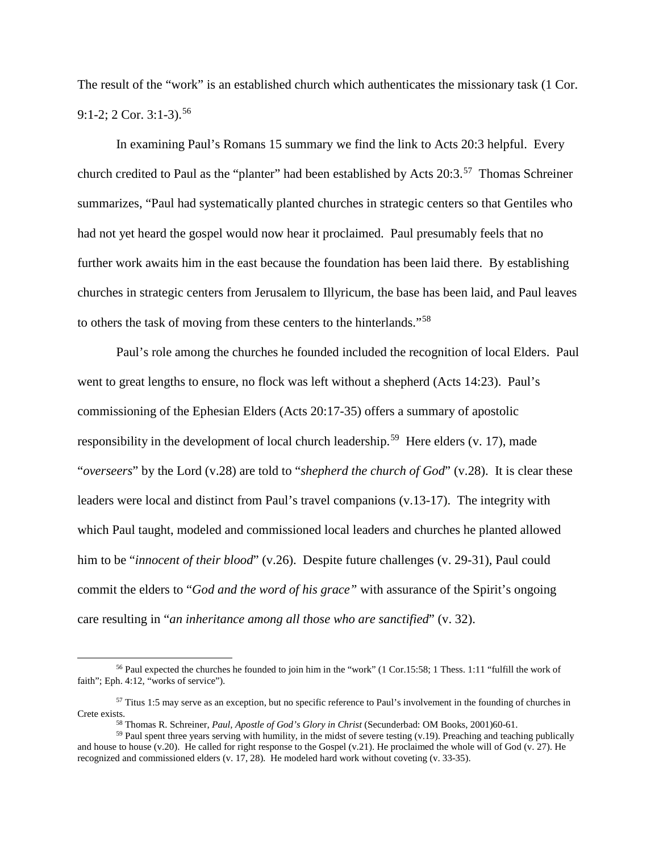The result of the "work" is an established church which authenticates the missionary task (1 Cor. 9:1-2; 2 Cor. 3:1-3).<sup>56</sup>

In examining Paul's Romans 15 summary we find the link to Acts 20:3 helpful. Every church credited to Paul as the "planter" had been established by Acts 20:3.[57](#page-16-1) Thomas Schreiner summarizes, "Paul had systematically planted churches in strategic centers so that Gentiles who had not yet heard the gospel would now hear it proclaimed. Paul presumably feels that no further work awaits him in the east because the foundation has been laid there. By establishing churches in strategic centers from Jerusalem to Illyricum, the base has been laid, and Paul leaves to others the task of moving from these centers to the hinterlands."[58](#page-16-2)

Paul's role among the churches he founded included the recognition of local Elders. Paul went to great lengths to ensure, no flock was left without a shepherd (Acts 14:23). Paul's commissioning of the Ephesian Elders (Acts 20:17-35) offers a summary of apostolic responsibility in the development of local church leadership.<sup>[59](#page-16-3)</sup> Here elders (v. 17), made "*overseers*" by the Lord (v.28) are told to "*shepherd the church of God*" (v.28). It is clear these leaders were local and distinct from Paul's travel companions (v.13-17). The integrity with which Paul taught, modeled and commissioned local leaders and churches he planted allowed him to be "*innocent of their blood*" (v.26). Despite future challenges (v. 29-31), Paul could commit the elders to "*God and the word of his grace"* with assurance of the Spirit's ongoing care resulting in "*an inheritance among all those who are sanctified*" (v. 32).

<span id="page-16-0"></span><sup>56</sup> Paul expected the churches he founded to join him in the "work" (1 Cor.15:58; 1 Thess. 1:11 "fulfill the work of faith"; Eph. 4:12, "works of service").

<span id="page-16-1"></span><sup>57</sup> Titus 1:5 may serve as an exception, but no specific reference to Paul's involvement in the founding of churches in Crete exists.<br><sup>58</sup> Thomas R. Schreiner. *Paul. Apostle of God's Glory in Christ* (Secunderbad: OM Books. 2001)60-61.

<span id="page-16-3"></span><span id="page-16-2"></span> $59$  Paul spent three years serving with humility, in the midst of severe testing (v.19). Preaching and teaching publically and house to house (v.20). He called for right response to the Gospel (v.21). He proclaimed the whole will of God (v. 27). He recognized and commissioned elders (v. 17, 28). He modeled hard work without coveting (v. 33-35).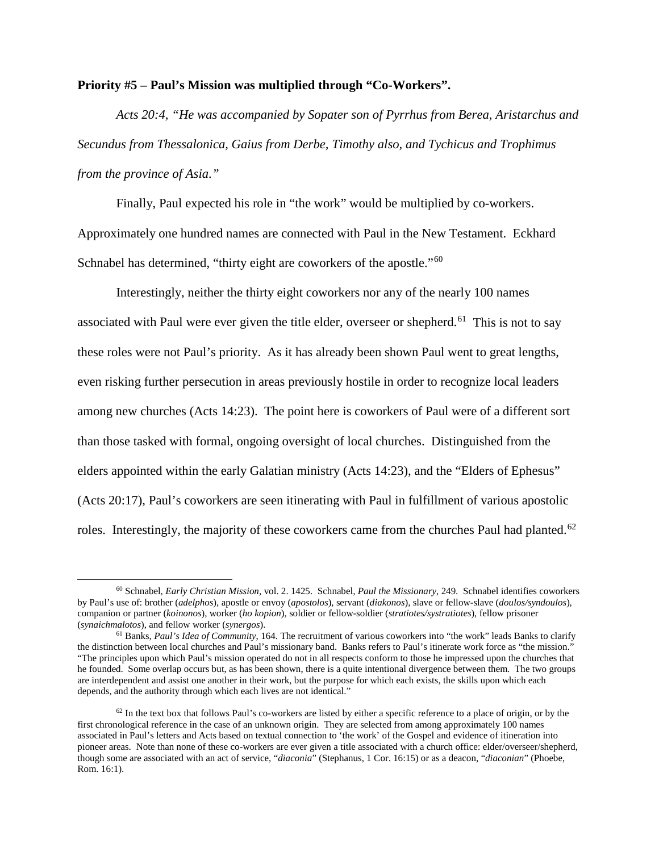### **Priority #5 – Paul's Mission was multiplied through "Co-Workers".**

*Acts 20:4, "He was accompanied by Sopater son of Pyrrhus from Berea, Aristarchus and Secundus from Thessalonica, Gaius from Derbe, Timothy also, and Tychicus and Trophimus from the province of Asia."*

Finally, Paul expected his role in "the work" would be multiplied by co-workers. Approximately one hundred names are connected with Paul in the New Testament. Eckhard Schnabel has determined, "thirty eight are coworkers of the apostle."<sup>60</sup>

Interestingly, neither the thirty eight coworkers nor any of the nearly 100 names associated with Paul were ever given the title elder, overseer or shepherd.<sup>61</sup> This is not to say these roles were not Paul's priority. As it has already been shown Paul went to great lengths, even risking further persecution in areas previously hostile in order to recognize local leaders among new churches (Acts 14:23). The point here is coworkers of Paul were of a different sort than those tasked with formal, ongoing oversight of local churches. Distinguished from the elders appointed within the early Galatian ministry (Acts 14:23), and the "Elders of Ephesus" (Acts 20:17), Paul's coworkers are seen itinerating with Paul in fulfillment of various apostolic roles. Interestingly, the majority of these coworkers came from the churches Paul had planted.<sup>62</sup>

<span id="page-17-0"></span><sup>60</sup> Schnabel, *Early Christian Mission,* vol. 2. 1425. Schnabel, *Paul the Missionary*, 249. Schnabel identifies coworkers by Paul's use of: brother (*adelphos*), apostle or envoy (*apostolos*), servant (*diakonos*), slave or fellow-slave (*doulos/syndoulos*), companion or partner (*koinonos*), worker (*ho kopion*), soldier or fellow-soldier (*stratiotes/systratiotes*), fellow prisoner (*synaichmalotos*), and fellow worker (*synergos*). 61 Banks*, Paul's Idea of Community*, 164. The recruitment of various coworkers into "the work" leads Banks to clarify

<span id="page-17-1"></span>the distinction between local churches and Paul's missionary band. Banks refers to Paul's itinerate work force as "the mission." "The principles upon which Paul's mission operated do not in all respects conform to those he impressed upon the churches that he founded. Some overlap occurs but, as has been shown, there is a quite intentional divergence between them. The two groups are interdependent and assist one another in their work, but the purpose for which each exists, the skills upon which each depends, and the authority through which each lives are not identical."

<span id="page-17-2"></span> $62$  In the text box that follows Paul's co-workers are listed by either a specific reference to a place of origin, or by the first chronological reference in the case of an unknown origin. They are selected from among approximately 100 names associated in Paul's letters and Acts based on textual connection to 'the work' of the Gospel and evidence of itineration into pioneer areas. Note than none of these co-workers are ever given a title associated with a church office: elder/overseer/shepherd, though some are associated with an act of service, "*diaconia*" (Stephanus, 1 Cor. 16:15) or as a deacon, "*diaconian*" (Phoebe, Rom. 16:1).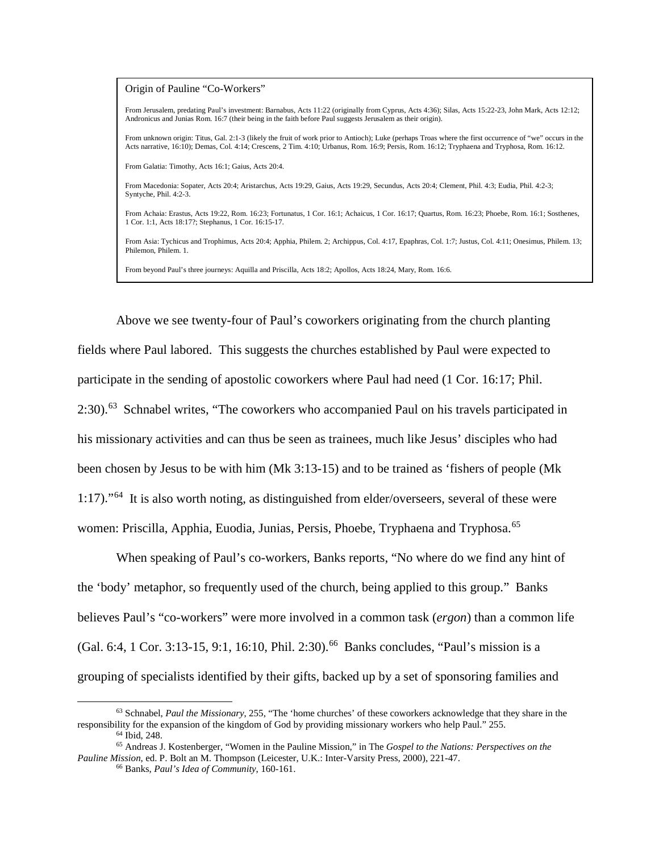Origin of Pauline "Co-Workers"

From Jerusalem, predating Paul's investment: Barnabus, Acts 11:22 (originally from Cyprus, Acts 4:36); Silas, Acts 15:22-23, John Mark, Acts 12:12; Andronicus and Junias Rom. 16:7 (their being in the faith before Paul suggests Jerusalem as their origin).

From unknown origin: Titus, Gal. 2:1-3 (likely the fruit of work prior to Antioch); Luke (perhaps Troas where the first occurrence of "we" occurs in the Acts narrative, 16:10); Demas, Col. 4:14; Crescens, 2 Tim. 4:10; Urbanus, Rom. 16:9; Persis, Rom. 16:12; Tryphaena and Tryphosa, Rom. 16:12.

From Galatia: Timothy, Acts 16:1; Gaius, Acts 20:4.

From Macedonia: Sopater, Acts 20:4; Aristarchus, Acts 19:29, Gaius, Acts 19:29, Secundus, Acts 20:4; Clement, Phil. 4:3; Eudia, Phil. 4:2-3; Syntyche, Phil. 4:2-3.

From Achaia: Erastus, Acts 19:22, Rom. 16:23; Fortunatus, 1 Cor. 16:1; Achaicus, 1 Cor. 16:17; Quartus, Rom. 16:23; Phoebe, Rom. 16:1; Sosthenes, 1 Cor. 1:1, Acts 18:17?; Stephanus, 1 Cor. 16:15-17.

From Asia: Tychicus and Trophimus, Acts 20:4; Apphia, Philem. 2; Archippus, Col. 4:17, Epaphras, Col. 1:7; Justus, Col. 4:11; Onesimus, Philem. 13; Philemon, Philem. 1.

From beyond Paul's three journeys: Aquilla and Priscilla, Acts 18:2; Apollos, Acts 18:24, Mary, Rom. 16:6.

Above we see twenty-four of Paul's coworkers originating from the church planting fields where Paul labored. This suggests the churches established by Paul were expected to participate in the sending of apostolic coworkers where Paul had need (1 Cor. 16:17; Phil. 2:30).[63](#page-18-0) Schnabel writes, "The coworkers who accompanied Paul on his travels participated in his missionary activities and can thus be seen as trainees, much like Jesus' disciples who had been chosen by Jesus to be with him (Mk 3:13-15) and to be trained as 'fishers of people (Mk 1:17)."[64](#page-18-1) It is also worth noting, as distinguished from elder/overseers, several of these were women: Priscilla, Apphia, Euodia, Junias, Persis, Phoebe, Tryphaena and Tryphosa.<sup>65</sup>

When speaking of Paul's co-workers, Banks reports, "No where do we find any hint of the 'body' metaphor, so frequently used of the church, being applied to this group." Banks believes Paul's "co-workers" were more involved in a common task (*ergon*) than a common life (Gal. 6:4, 1 Cor. 3:13-15, 9:1, 16:10, Phil. 2:30).<sup>[66](#page-18-3)</sup> Banks concludes, "Paul's mission is a grouping of specialists identified by their gifts, backed up by a set of sponsoring families and

<span id="page-18-0"></span><sup>63</sup> Schnabel, *Paul the Missionary*, 255, "The 'home churches' of these coworkers acknowledge that they share in the responsibility for the expansion of the kingdom of God by providing missionary workers who help Paul." 255. 64 Ibid, 248.

<span id="page-18-3"></span><span id="page-18-2"></span><span id="page-18-1"></span><sup>65</sup> Andreas J. Kostenberger, "Women in the Pauline Mission," in The *Gospel to the Nations: Perspectives on the Pauline Mission*, ed. P. Bolt an M. Thompson (Leicester, U.K.: Inter-Varsity Press, 2000), 221-47.

<sup>66</sup> Banks, *Paul's Idea of Community*, 160-161.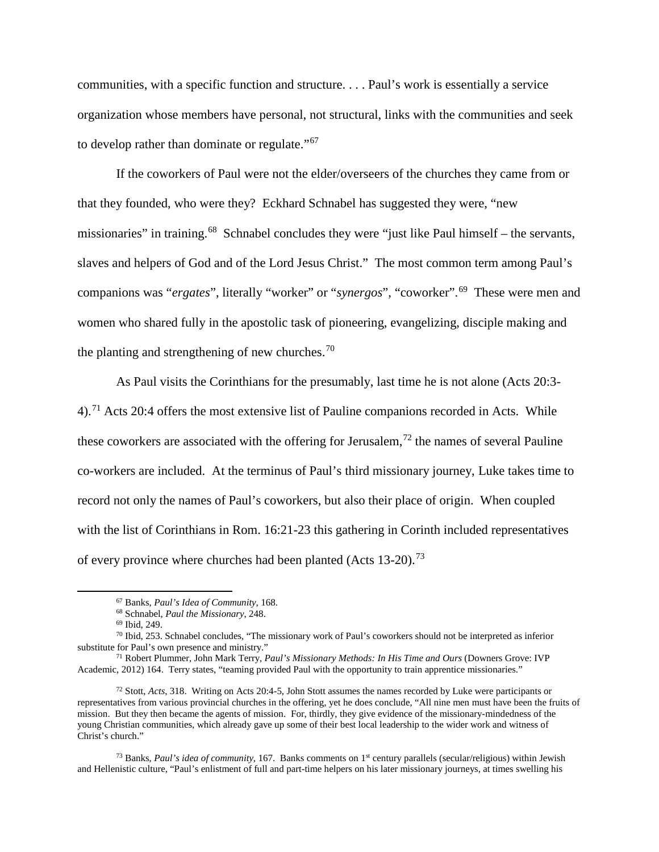communities, with a specific function and structure. . . . Paul's work is essentially a service organization whose members have personal, not structural, links with the communities and seek to develop rather than dominate or regulate."[67](#page-19-0)

If the coworkers of Paul were not the elder/overseers of the churches they came from or that they founded, who were they? Eckhard Schnabel has suggested they were, "new missionaries" in training.<sup>68</sup> Schnabel concludes they were "just like Paul himself – the servants, slaves and helpers of God and of the Lord Jesus Christ." The most common term among Paul's companions was "*ergates*", literally "worker" or "*synergos*", "coworker".[69](#page-19-2) These were men and women who shared fully in the apostolic task of pioneering, evangelizing, disciple making and the planting and strengthening of new churches.<sup>[70](#page-19-3)</sup>

As Paul visits the Corinthians for the presumably, last time he is not alone (Acts 20:3- 4).<sup>[71](#page-19-4)</sup> Acts 20:4 offers the most extensive list of Pauline companions recorded in Acts. While these coworkers are associated with the offering for Jerusalem,<sup>[72](#page-19-5)</sup> the names of several Pauline co-workers are included. At the terminus of Paul's third missionary journey, Luke takes time to record not only the names of Paul's coworkers, but also their place of origin. When coupled with the list of Corinthians in Rom. 16:21-23 this gathering in Corinth included representatives of every province where churches had been planted (Acts  $13{\text -}20$ ).<sup>73</sup>

<span id="page-19-0"></span> $\overline{a}$ 

<sup>67</sup> Banks, *Paul's Idea of Community*, 168. 68 Schnabel, *Paul the Missionary*, 248.

<sup>69</sup> Ibid, 249.

<span id="page-19-3"></span><span id="page-19-2"></span><span id="page-19-1"></span><sup>&</sup>lt;sup>70</sup> Ibid, 253. Schnabel concludes, "The missionary work of Paul's coworkers should not be interpreted as inferior substitute for Paul's own presence and ministry."

<span id="page-19-4"></span><sup>&</sup>lt;sup>71</sup> Robert Plummer, John Mark Terry, *Paul's Missionary Methods: In His Time and Ours* (Downers Grove: IVP Academic, 2012) 164. Terry states, "teaming provided Paul with the opportunity to train apprentice missionaries."

<span id="page-19-5"></span><sup>72</sup> Stott, *Acts*, 318. Writing on Acts 20:4-5, John Stott assumes the names recorded by Luke were participants or representatives from various provincial churches in the offering, yet he does conclude, "All nine men must have been the fruits of mission. But they then became the agents of mission. For, thirdly, they give evidence of the missionary-mindedness of the young Christian communities, which already gave up some of their best local leadership to the wider work and witness of Christ's church."

<span id="page-19-6"></span><sup>&</sup>lt;sup>73</sup> Banks, *Paul's idea of community*, 167. Banks comments on 1<sup>st</sup> century parallels (secular/religious) within Jewish and Hellenistic culture, "Paul's enlistment of full and part-time helpers on his later missionary journeys, at times swelling his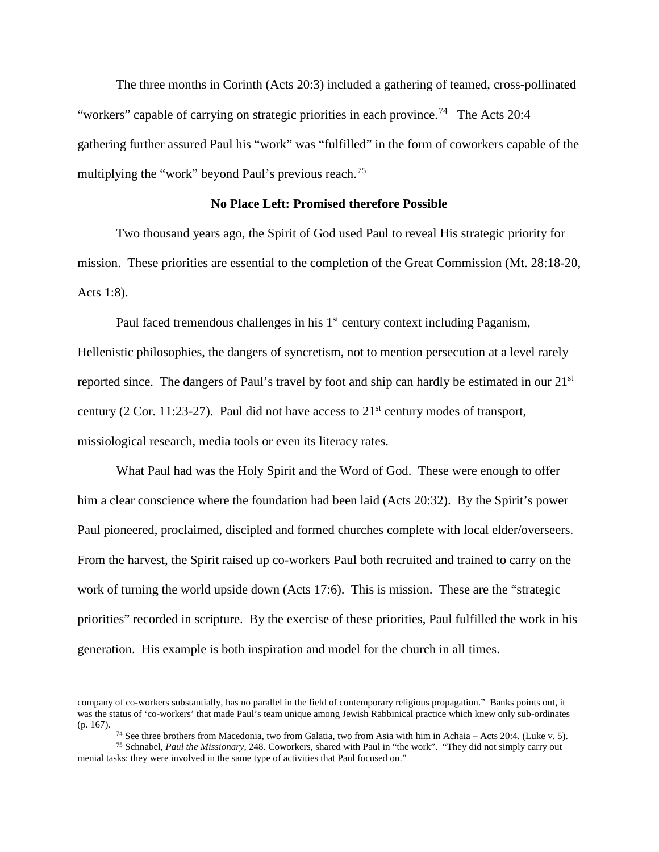The three months in Corinth (Acts 20:3) included a gathering of teamed, cross-pollinated "workers" capable of carrying on strategic priorities in each province.<sup>74</sup> The Acts 20:4 gathering further assured Paul his "work" was "fulfilled" in the form of coworkers capable of the multiplying the "work" beyond Paul's previous reach.<sup>[75](#page-20-1)</sup>

# **No Place Left: Promised therefore Possible**

Two thousand years ago, the Spirit of God used Paul to reveal His strategic priority for mission. These priorities are essential to the completion of the Great Commission (Mt. 28:18-20, Acts 1:8).

Paul faced tremendous challenges in his  $1<sup>st</sup>$  century context including Paganism, Hellenistic philosophies, the dangers of syncretism, not to mention persecution at a level rarely reported since. The dangers of Paul's travel by foot and ship can hardly be estimated in our 21<sup>st</sup> century (2 Cor. 11:23-27). Paul did not have access to  $21<sup>st</sup>$  century modes of transport, missiological research, media tools or even its literacy rates.

What Paul had was the Holy Spirit and the Word of God. These were enough to offer him a clear conscience where the foundation had been laid (Acts 20:32). By the Spirit's power Paul pioneered, proclaimed, discipled and formed churches complete with local elder/overseers. From the harvest, the Spirit raised up co-workers Paul both recruited and trained to carry on the work of turning the world upside down (Acts 17:6). This is mission. These are the "strategic priorities" recorded in scripture. By the exercise of these priorities, Paul fulfilled the work in his generation. His example is both inspiration and model for the church in all times.

company of co-workers substantially, has no parallel in the field of contemporary religious propagation." Banks points out, it was the status of 'co-workers' that made Paul's team unique among Jewish Rabbinical practice which knew only sub-ordinates (p. 167).

<sup>74</sup> See three brothers from Macedonia, two from Galatia, two from Asia with him in Achaia – Acts 20:4. (Luke v. 5).

<span id="page-20-1"></span><span id="page-20-0"></span><sup>75</sup> Schnabel, *Paul the Missionary,* 248. Coworkers, shared with Paul in "the work". "They did not simply carry out menial tasks: they were involved in the same type of activities that Paul focused on."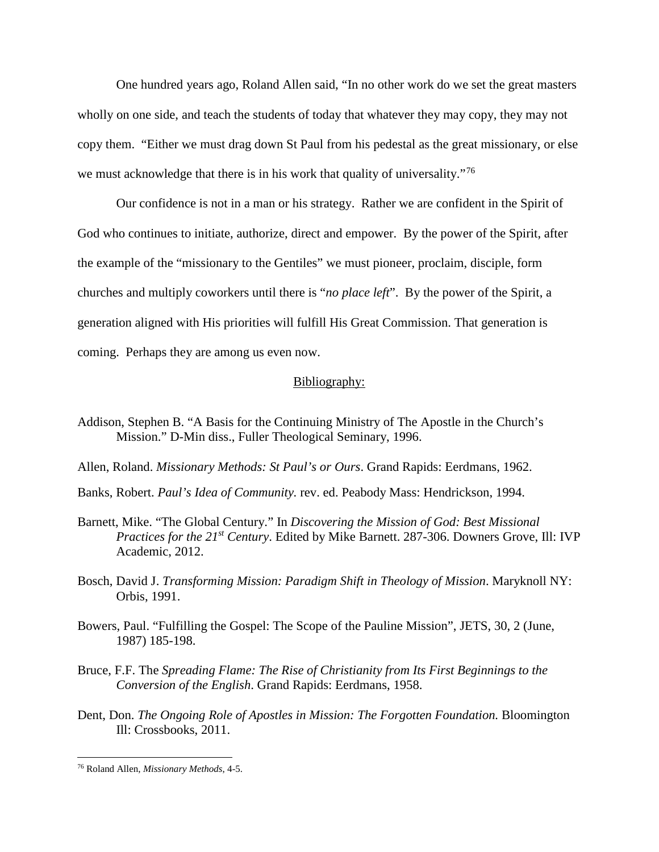One hundred years ago, Roland Allen said, "In no other work do we set the great masters wholly on one side, and teach the students of today that whatever they may copy, they may not copy them. "Either we must drag down St Paul from his pedestal as the great missionary, or else we must acknowledge that there is in his work that quality of universality."<sup>[76](#page-21-0)</sup>

Our confidence is not in a man or his strategy. Rather we are confident in the Spirit of God who continues to initiate, authorize, direct and empower. By the power of the Spirit, after the example of the "missionary to the Gentiles" we must pioneer, proclaim, disciple, form churches and multiply coworkers until there is "*no place left*". By the power of the Spirit, a generation aligned with His priorities will fulfill His Great Commission. That generation is coming. Perhaps they are among us even now.

#### Bibliography:

- Addison, Stephen B. "A Basis for the Continuing Ministry of The Apostle in the Church's Mission." D-Min diss., Fuller Theological Seminary, 1996.
- Allen, Roland. *Missionary Methods: St Paul's or Ours*. Grand Rapids: Eerdmans, 1962.
- Banks, Robert. *Paul's Idea of Community.* rev. ed. Peabody Mass: Hendrickson, 1994.
- Barnett, Mike. "The Global Century." In *Discovering the Mission of God: Best Missional Practices for the 21st Century*. Edited by Mike Barnett. 287-306. Downers Grove, Ill: IVP Academic, 2012.
- Bosch, David J. *Transforming Mission: Paradigm Shift in Theology of Mission*. Maryknoll NY: Orbis, 1991.
- Bowers, Paul. "Fulfilling the Gospel: The Scope of the Pauline Mission", JETS, 30, 2 (June, 1987) 185-198.
- Bruce, F.F. The *Spreading Flame: The Rise of Christianity from Its First Beginnings to the Conversion of the English*. Grand Rapids: Eerdmans, 1958.
- Dent, Don. *The Ongoing Role of Apostles in Mission: The Forgotten Foundation.* Bloomington Ill: Crossbooks, 2011.

 $\overline{a}$ 

<span id="page-21-0"></span><sup>76</sup> Roland Allen, *Missionary Methods*, 4-5.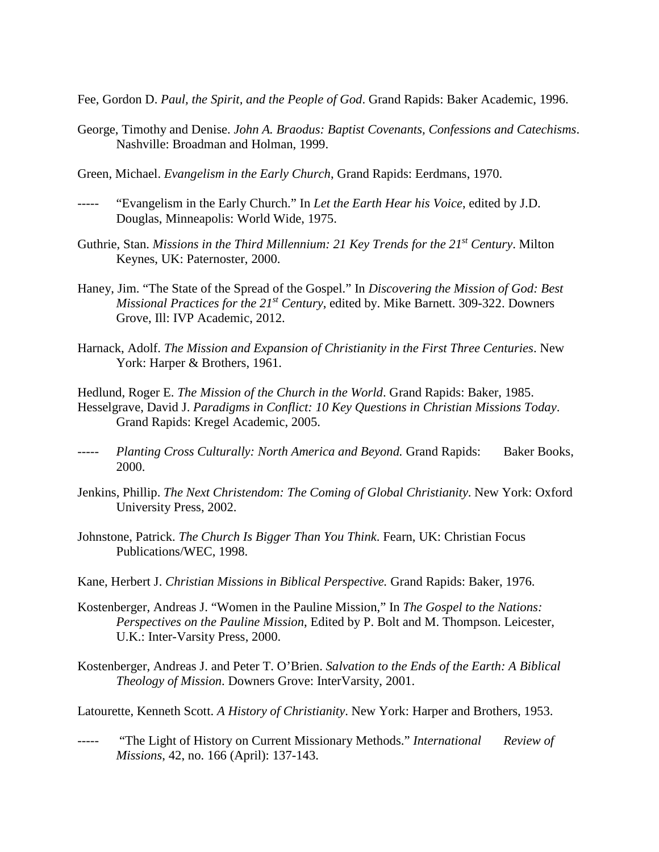Fee, Gordon D. *Paul, the Spirit, and the People of God*. Grand Rapids: Baker Academic, 1996.

- George, Timothy and Denise. *John A. Braodus: Baptist Covenants, Confessions and Catechisms*. Nashville: Broadman and Holman, 1999.
- Green, Michael. *Evangelism in the Early Church*, Grand Rapids: Eerdmans, 1970.
- "Evangelism in the Early Church." In *Let the Earth Hear his Voice*, edited by J.D. Douglas, Minneapolis: World Wide, 1975.
- Guthrie, Stan. *Missions in the Third Millennium: 21 Key Trends for the 21st Century*. Milton Keynes, UK: Paternoster, 2000.
- Haney, Jim. "The State of the Spread of the Gospel." In *Discovering the Mission of God: Best Missional Practices for the 21st Century*, edited by. Mike Barnett. 309-322. Downers Grove, Ill: IVP Academic, 2012.
- Harnack, Adolf. *The Mission and Expansion of Christianity in the First Three Centuries*. New York: Harper & Brothers, 1961.

Hedlund, Roger E. *The Mission of the Church in the World*. Grand Rapids: Baker, 1985. Hesselgrave, David J. *Paradigms in Conflict: 10 Key Questions in Christian Missions Today*. Grand Rapids: Kregel Academic, 2005.

- ----- *Planting Cross Culturally: North America and Beyond.* Grand Rapids: Baker Books, 2000.
- Jenkins, Phillip. *The Next Christendom: The Coming of Global Christianity*. New York: Oxford University Press, 2002.
- Johnstone, Patrick. *The Church Is Bigger Than You Think*. Fearn, UK: Christian Focus Publications/WEC, 1998.
- Kane, Herbert J. *Christian Missions in Biblical Perspective.* Grand Rapids: Baker, 1976.
- Kostenberger, Andreas J. "Women in the Pauline Mission," In *The Gospel to the Nations: Perspectives on the Pauline Mission*, Edited by P. Bolt and M. Thompson. Leicester, U.K.: Inter-Varsity Press, 2000.
- Kostenberger, Andreas J. and Peter T. O'Brien. *Salvation to the Ends of the Earth: A Biblical Theology of Mission*. Downers Grove: InterVarsity, 2001.
- Latourette, Kenneth Scott. *A History of Christianity*. New York: Harper and Brothers, 1953.
- ----- "The Light of History on Current Missionary Methods." *International Review of Missions*, 42, no. 166 (April): 137-143.